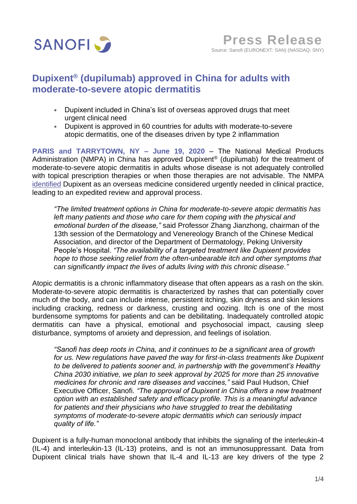

# **Dupixent® (dupilumab) approved in China for adults with moderate-to-severe atopic dermatitis**

- Dupixent included in China's list of overseas approved drugs that meet urgent clinical need
- Dupixent is approved in 60 countries for adults with moderate-to-severe atopic dermatitis, one of the diseases driven by type 2 inflammation

**PARIS and TARRYTOWN, NY – June 19, 2020** – The National Medical Products Administration (NMPA) in China has approved Dupixent® (dupilumab) for the treatment of moderate-to-severe atopic dermatitis in adults whose disease is not adequately controlled with topical prescription therapies or when those therapies are not advisable. The NMPA [identified](http://english.nmpa.gov.cn/2019-07/06/c_387767.htm) Dupixent as an overseas medicine considered urgently needed in clinical practice, leading to an expedited review and approval process.

*"The limited treatment options in China for moderate-to-severe atopic dermatitis has left many patients and those who care for them coping with the physical and emotional burden of the disease,"* said Professor Zhang Jianzhong, chairman of the 13th session of the Dermatology and Venereology Branch of the Chinese Medical Association, and director of the Department of Dermatology, Peking University People's Hospital. *"The availability of a targeted treatment like Dupixent provides hope to those seeking relief from the often-unbearable itch and other symptoms that can significantly impact the lives of adults living with this chronic disease."*

Atopic dermatitis is a chronic inflammatory disease that often appears as a rash on the skin. Moderate-to-severe atopic dermatitis is characterized by rashes that can potentially cover much of the body, and can include intense, persistent itching, skin dryness and skin lesions including cracking, redness or darkness, crusting and oozing. Itch is one of the most burdensome symptoms for patients and can be debilitating. Inadequately controlled atopic dermatitis can have a physical, emotional and psychosocial impact, causing sleep disturbance, symptoms of anxiety and depression, and feelings of isolation.

*"Sanofi has deep roots in China, and it continues to be a significant area of growth*  for us. New regulations have payed the way for first-in-class treatments like Dupixent *to be delivered to patients sooner and, in partnership with the government's Healthy China 2030 initiative, we plan to seek approval by 2025 for more than 25 innovative medicines for chronic and rare diseases and vaccines,"* said Paul Hudson, Chief Executive Officer, Sanofi. *"The approval of Dupixent in China offers a new treatment option with an established safety and efficacy profile. This is a meaningful advance*  for patients and their physicians who have struggled to treat the debilitating *symptoms of moderate-to-severe atopic dermatitis which can seriously impact quality of life."*

Dupixent is a fully-human monoclonal antibody that inhibits the signaling of the interleukin-4 (IL-4) and interleukin-13 (IL-13) proteins, and is not an immunosuppressant. Data from Dupixent clinical trials have shown that IL-4 and IL-13 are key drivers of the type 2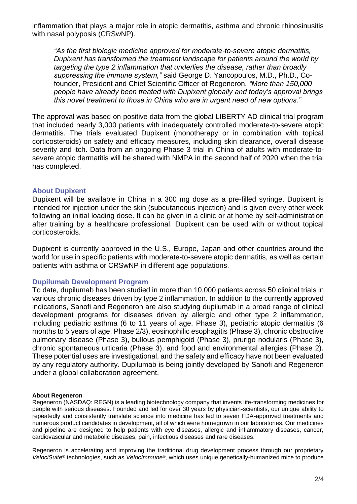inflammation that plays a major role in atopic dermatitis, asthma and chronic rhinosinusitis with nasal polyposis (CRSwNP).

*"As the first biologic medicine approved for moderate-to-severe atopic dermatitis, Dupixent has transformed the treatment landscape for patients around the world by targeting the type 2 inflammation that underlies the disease, rather than broadly suppressing the immune system,"* said George D. Yancopoulos, M.D., Ph.D., Cofounder, President and Chief Scientific Officer of Regeneron*. "More than 150,000 people have already been treated with Dupixent globally and today's approval brings this novel treatment to those in China who are in urgent need of new options."*

The approval was based on positive data from the global LIBERTY AD clinical trial program that included nearly 3,000 patients with inadequately controlled moderate-to-severe atopic dermatitis. The trials evaluated Dupixent (monotherapy or in combination with topical corticosteroids) on safety and efficacy measures, including skin clearance, overall disease severity and itch. Data from an ongoing Phase 3 trial in China of adults with moderate-tosevere atopic dermatitis will be shared with NMPA in the second half of 2020 when the trial has completed.

# **About Dupixent**

Dupixent will be available in China in a 300 mg dose as a pre-filled syringe. Dupixent is intended for injection under the skin (subcutaneous injection) and is given every other week following an initial loading dose. It can be given in a clinic or at home by self-administration after training by a healthcare professional. Dupixent can be used with or without topical corticosteroids.

Dupixent is currently approved in the U.S., Europe, Japan and other countries around the world for use in specific patients with moderate-to-severe atopic dermatitis, as well as certain patients with asthma or CRSwNP in different age populations.

# **Dupilumab Development Program**

To date, dupilumab has been studied in more than 10,000 patients across 50 clinical trials in various chronic diseases driven by type 2 inflammation. In addition to the currently approved indications, Sanofi and Regeneron are also studying dupilumab in a broad range of clinical development programs for diseases driven by allergic and other type 2 inflammation, including pediatric asthma (6 to 11 years of age, Phase 3), pediatric atopic dermatitis (6 months to 5 years of age, Phase 2/3), eosinophilic esophagitis (Phase 3), chronic obstructive pulmonary disease (Phase 3), bullous pemphigoid (Phase 3), prurigo nodularis (Phase 3), chronic spontaneous urticaria (Phase 3), and food and environmental allergies (Phase 2). These potential uses are investigational, and the safety and efficacy have not been evaluated by any regulatory authority. Dupilumab is being jointly developed by Sanofi and Regeneron under a global collaboration agreement.

## **About Regeneron**

Regeneron (NASDAQ: REGN) is a leading biotechnology company that invents life-transforming medicines for people with serious diseases. Founded and led for over 30 years by physician-scientists, our unique ability to repeatedly and consistently translate science into medicine has led to seven FDA-approved treatments and numerous product candidates in development, all of which were homegrown in our laboratories. Our medicines and pipeline are designed to help patients with eye diseases, allergic and inflammatory diseases, cancer, cardiovascular and metabolic diseases, pain, infectious diseases and rare diseases.

Regeneron is accelerating and improving the traditional drug development process through our proprietary *VelociSuite®* technologies, such as *VelocImmune®,* which uses unique genetically-humanized mice to produce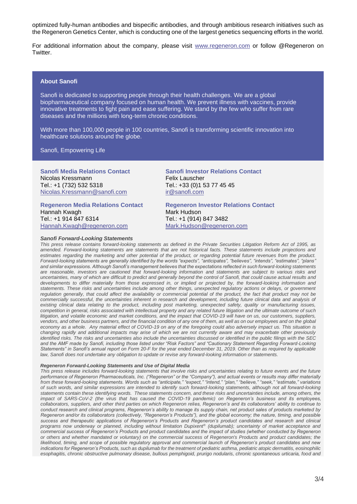optimized fully-human antibodies and bispecific antibodies, and through ambitious research initiatives such as the Regeneron Genetics Center, which is conducting one of the largest genetics sequencing efforts in the world.

For additional information about the company, please visit [www.regeneron.com](https://urldefense.proofpoint.com/v2/url?u=http-3A__www.regeneron.com&d=DwQGaQ&c=Dbf9zoswcQ-CRvvI7VX5j3HvibIuT3ZiarcKl5qtMPo&r=U-yjFaDz1nYyKQUMvePnQ5E0Zw4HSwFEZ3DXm_Mw2Rg&m=76aZT4tucLbVJiBQ8i3RJDc373qgsQBXKOckvugSMHc&s=6gzSxMNrdIKRi6zI8vzWuML1SpRMNerWcOWT2bmG_bk&e=) or follow @Regeneron on Twitter.

## **About Sanofi**

Sanofi is dedicated to supporting people through their health challenges. We are a global biopharmaceutical company focused on human health. We prevent illness with vaccines, provide innovative treatments to fight pain and ease suffering. We stand by the few who suffer from rare diseases and the millions with long-term chronic conditions.

With more than 100,000 people in 100 countries, Sanofi is transforming scientific innovation into healthcare solutions around the globe.

Sanofi, Empowering Life

**Sanofi Media Relations Contact** Nicolas Kressmann Tel.: +1 (732) 532 5318 [Nicolas.Kressmann@sanofi.com](mailto:Nicolas.Kressmann@sanofi.com)

**Regeneron Media Relations Contact** Hannah Kwagh Tel.: +1 914 847 6314 Hannah.Kwagh@regeneron.com

### *Sanofi Forward-Looking Statements*

Felix Lauscher Tel.: +33 (0)1 53 77 45 45 [ir@sanofi.com](mailto:ir@sanofi.com) **Regeneron Investor Relations Contact**

**Sanofi Investor Relations Contact**

Tel.: +1 (914) 847 3482 Mark.Hudson@regeneron.com *This press release contains forward-looking statements as defined in the Private Securities Litigation Reform Act of 1995, as amended. Forward-looking statements are statements that are not historical facts. These statements include projections and estimates regarding the marketing and other potential of the product, or regarding potential future revenues from the product. Forward-looking statements are generally identified by the words "expects", "anticipates", "believes", "intends", "estimates", "plans" and similar expressions. Although Sanofi's management believes that the expectations reflected in such forward-looking statements are reasonable, investors are cautioned that forward-looking information and statements are subject to various risks and uncertainties, many of which are difficult to predict and generally beyond the control of Sanofi, that could cause actual results and* 

*developments to differ materially from those expressed in, or implied or projected by, the forward-looking information and statements. These risks and uncertainties include among other things, unexpected regulatory actions or delays, or government*  regulation generally, that could affect the availability or commercial potential of the product, the fact that product may not be commercially successful, the uncertainties inherent in research and development, including future clinical data and analysis of *existing clinical data relating to the product, including post marketing, unexpected safety, quality or manufacturing issues, competition in general, risks associated with intellectual property and any related future litigation and the ultimate outcome of such litigation, and volatile economic and market conditions, and the impact that COVID-19 will have on us, our customers, suppliers, vendors, and other business partners, and the financial condition of any one of them, as well as on our employees and on the global economy as a whole. Any material effect of COVID-19 on any of the foregoing could also adversely impact us. This situation is changing rapidly and additional impacts may arise of which we are not currently aware and may exacerbate other previously identified risks. The risks and uncertainties also include the uncertainties discussed or identified in the public filings with the SEC and the AMF made by Sanofi, including those listed under "Risk Factors" and "Cautionary Statement Regarding Forward-Looking Statements" in Sanofi's annual report on Form 20-F for the year ended December 31, 2019. Other than as required by applicable law, Sanofi does not undertake any obligation to update or revise any forward-looking information or statements.*

Mark Hudson

#### *Regeneron Forward-Looking Statements and Use of Digital Media*

*This press release includes forward-looking statements that involve risks and uncertainties relating to future events and the future performance of Regeneron Pharmaceuticals, Inc. ("Regeneron" or the "Company"), and actual events or results may differ materially from these forward-looking statements. Words such as "anticipate," "expect," "intend," "plan," "believe," "seek," "estimate," variations of such words, and similar expressions are intended to identify such forward-looking statements, although not all forward-looking statements contain these identifying words. These statements concern, and these risks and uncertainties include, among others, the impact of SARS-CoV-2 (the virus that has caused the COVID-19 pandemic) on Regeneron's business and its employees, collaborators, suppliers, and other third parties on which Regeneron relies, Regeneron's and its collaborators' ability to continue to conduct research and clinical programs, Regeneron's ability to manage its supply chain, net product sales of products marketed by Regeneron and/or its collaborators (collectively, "Regeneron's Products"), and the global economy; the nature, timing, and possible success and therapeutic applications of Regeneron's Products and Regeneron's product candidates and research and clinical programs now underway or planned, including without limitation Dupixent® (dupilumab); uncertainty of market acceptance and commercial success of Regeneron's Products and product candidates and the impact of studies (whether conducted by Regeneron or others and whether mandated or voluntary) on the commercial success of Regeneron's Products and product candidates; the likelihood, timing, and scope of possible regulatory approval and commercial launch of Regeneron's product candidates and new indications for Regeneron's Products, such as dupilumab for the treatment of pediatric asthma, pediatric atopic dermatitis, eosinophilic esophagitis, chronic obstructive pulmonary disease, bullous pemphigoid, prurigo nodularis, chronic spontaneous urticaria, food and*